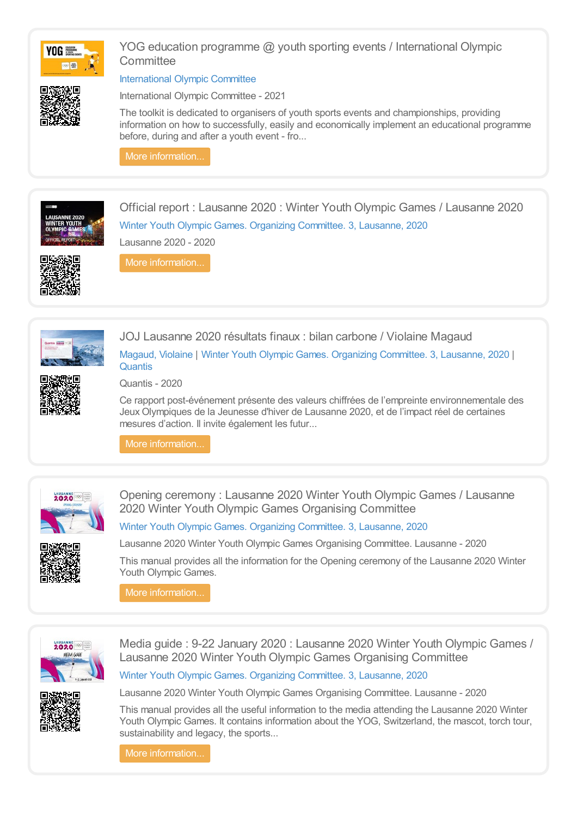

YOG education programme @ youth sporting events / International Olympic **Committee** 

[International](https://library.olympics.com/Default/search.aspx?SC=DEFAULT&QUERY=Authority_id_idx%253a167997&QUERY_LABEL=International+Olympic+Committee) Olympic Committee

International Olympic Committee - 2021

The toolkit is dedicated to organisers of youth sports events and championships, providing information on how to successfully, easily and economically implement an educational programme before, during and after a youth event - fro...

More [information...](https://library.olympics.com/Default/doc/SYRACUSE/1088910/yog-education-programme-youth-sporting-events-international-olympic-committee)



Official report : Lausanne 2020 : Winter Youth Olympic Games / Lausanne 2020 Winter Youth Olympic Games. Organizing [Committee.](https://library.olympics.com/Default/search.aspx?SC=DEFAULT&QUERY=Authority_id_idx%253a208342&QUERY_LABEL=Winter+Youth+Olympic+Games.+Organizing+Committee.+3%252c+Lausanne%252c+2020) 3, Lausanne, 2020 Lausanne 2020 - 2020



More [information...](https://library.olympics.com/Default/doc/SYRACUSE/470908/official-report-lausanne-2020-winter-youth-olympic-games-lausanne-2020)



JOJ Lausanne 2020 résultats finaux : bilan carbone / Violaine Magaud [Magaud,](https://library.olympics.com/Default/search.aspx?SC=DEFAULT&QUERY=Authority_id_idx%253a354581&QUERY_LABEL=Magaud%252c+Violaine) Violaine | Winter Youth Olympic Games. Organizing [Committee.](https://library.olympics.com/Default/search.aspx?SC=DEFAULT&QUERY=Authority_id_idx%253a208342&QUERY_LABEL=Winter+Youth+Olympic+Games.+Organizing+Committee.+3%252c+Lausanne%252c+2020) 3, Lausanne, 2020 | [Quantis](https://library.olympics.com/Default/search.aspx?SC=DEFAULT&QUERY=Authority_id_idx%253a354582&QUERY_LABEL=Quantis)



Quantis - 2020

Ce rapport post-événement présente des valeurs chiffrées de l'empreinte environnementale des Jeux Olympiques de la Jeunesse d'hiver de Lausanne 2020, et de l'impact réel de certaines mesures d'action. Il invite également les futur...

More [information...](https://library.olympics.com/Default/doc/SYRACUSE/354580/joj-lausanne-2020-resultats-finaux-bilan-carbone-violaine-magaud)



Opening ceremony : Lausanne 2020 Winter Youth Olympic Games / Lausanne 2020 Winter Youth Olympic Games Organising Committee

Winter Youth Olympic Games. Organizing [Committee.](https://library.olympics.com/Default/search.aspx?SC=DEFAULT&QUERY=Authority_id_idx%253a208342&QUERY_LABEL=Winter+Youth+Olympic+Games.+Organizing+Committee.+3%252c+Lausanne%252c+2020) 3, Lausanne, 2020

Lausanne 2020 Winter Youth Olympic Games Organising Committee. Lausanne - 2020

This manual provides all the information for the Opening ceremony of the Lausanne 2020 Winter Youth Olympic Games.

More information..



Media guide : 9-22 January 2020 : Lausanne 2020 Winter Youth Olympic Games / Lausanne 2020 Winter Youth Olympic Games Organising Committee

Winter Youth Olympic Games. Organizing [Committee.](https://library.olympics.com/Default/search.aspx?SC=DEFAULT&QUERY=Authority_id_idx%253a208342&QUERY_LABEL=Winter+Youth+Olympic+Games.+Organizing+Committee.+3%252c+Lausanne%252c+2020) 3, Lausanne, 2020



Lausanne 2020 Winter Youth Olympic Games Organising Committee. Lausanne - 2020

This manual provides all the useful information to the media attending the Lausanne 2020 Winter Youth Olympic Games. It contains information about the YOG, Switzerland, the mascot, torch tour, sustainability and legacy, the sports...

More [information...](https://library.olympics.com/Default/doc/SYRACUSE/210556/media-guide-9-22-january-2020-lausanne-2020-winter-youth-olympic-games-lausanne-2020-winter-youth-ol)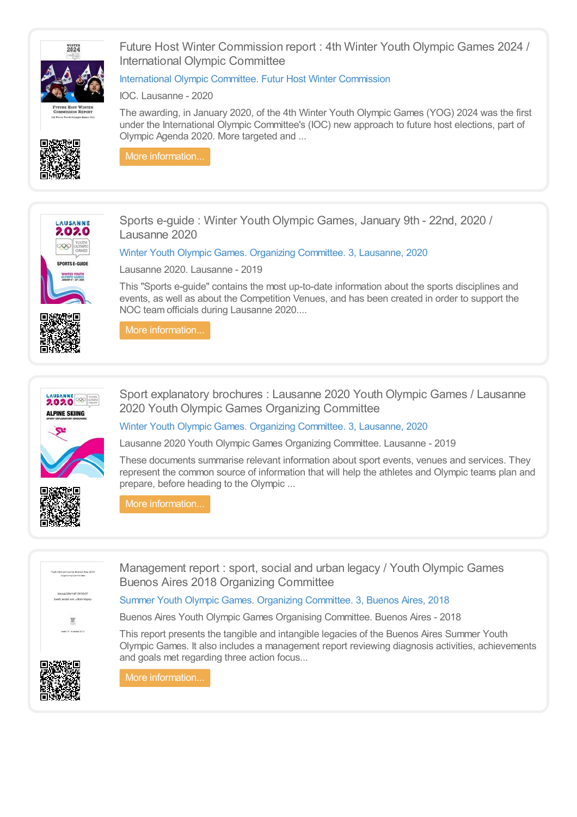

Future Host Winter Commission report : 4th Winter Youth Olympic Games 2024 / International Olympic Committee

### [International](https://library.olympics.com/Default/search.aspx?SC=DEFAULT&QUERY=Authority_id_idx%253a210575&QUERY_LABEL=International+Olympic+Committee.+Futur+Host+Winter+Commission) Olympic Committee. Futur Host Winter Commission

IOC. Lausanne - 2020

The awarding, in January 2020, of the 4th Winter Youth Olympic Games (YOG) 2024 was the first under the International Olympic Committee's (IOC) new approach to future host elections, part of Olympic Agenda 2020. More targeted and ...



More [information...](https://library.olympics.com/Default/doc/SYRACUSE/210532/future-host-winter-commission-report-4th-winter-youth-olympic-games-2024-international-olympic-commi)



Sports e-guide : Winter Youth Olympic Games, January 9th - 22nd, 2020 / Lausanne 2020

Winter Youth Olympic Games. Organizing [Committee.](https://library.olympics.com/Default/search.aspx?SC=DEFAULT&QUERY=Authority_id_idx%253a208342&QUERY_LABEL=Winter+Youth+Olympic+Games.+Organizing+Committee.+3%252c+Lausanne%252c+2020) 3, Lausanne, 2020

Lausanne 2020. Lausanne - 2019

This "Sports e-guide" contains the most up-to-date information about the sports disciplines and events, as well as about the Competition Venues, and has been created in order to support the NOC team officials during Lausanne 2020....



More [information...](https://library.olympics.com/Default/doc/SYRACUSE/210296/sports-e-guide-winter-youth-olympic-games-january-9th-22nd-2020-lausanne-2020)



Sport explanatory brochures : Lausanne 2020 Youth Olympic Games / Lausanne 2020 Youth Olympic Games Organizing Committee



Winter Youth Olympic Games. Organizing [Committee.](https://library.olympics.com/Default/search.aspx?SC=DEFAULT&QUERY=Authority_id_idx%253a208342&QUERY_LABEL=Winter+Youth+Olympic+Games.+Organizing+Committee.+3%252c+Lausanne%252c+2020) 3, Lausanne, 2020

Lausanne 2020 Youth Olympic Games Organizing Committee. Lausanne - 2019

These documents summarise relevant information about sport events, venues and services. They represent the common source of information that will help the athletes and Olympic teams plan and prepare, before heading to the Olympic ...

More [information...](https://library.olympics.com/Default/doc/SYRACUSE/209534/sport-explanatory-brochures-lausanne-2020-youth-olympic-games-lausanne-2020-youth-olympic-games-orga)



Management report : sport, social and urban legacy / Youth Olympic Games Buenos Aires 2018 Organizing Committee

### Summer Youth Olympic Games. Organizing [Committee.](https://library.olympics.com/Default/search.aspx?SC=DEFAULT&QUERY=Authority_id_idx%253a171377&QUERY_LABEL=Summer+Youth+Olympic+Games.+Organizing+Committee.+3%252c+Buenos+Aires%252c+2018) 3, Buenos Aires, 2018

Buenos Aires Youth Olympic Games Organising Committee. Buenos Aires - 2018

This report presents the tangible and intangible legacies of the Buenos Aires Summer Youth Olympic Games. It also includes a management report reviewing diagnosis activities, achievements and goals met regarding three action focus...



More [information...](https://library.olympics.com/Default/doc/SYRACUSE/186079/management-report-sport-social-and-urban-legacy-youth-olympic-games-buenos-aires-2018-organizing-com)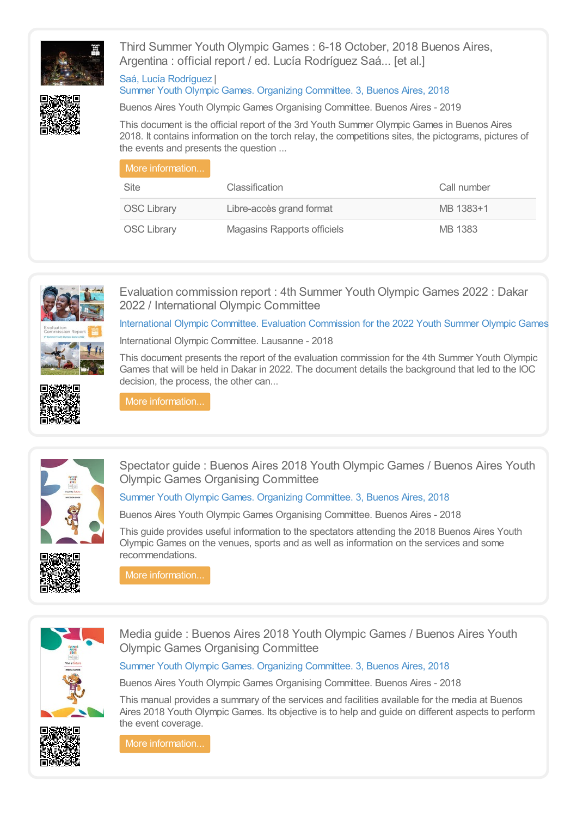

Third Summer Youth Olympic Games : 6-18 October, 2018 Buenos Aires, Argentina : official report / ed. Lucía Rodríguez Saá... [et al.]

#### Saá, Lucía [Rodríguez](https://library.olympics.com/Default/search.aspx?SC=DEFAULT&QUERY=Authority_id_idx:186075&QUERY_LABEL=Sa%25C3%25A1%252c+Luc%25C3%25ADa+Rodr%25C3%25ADguez) | Summer Youth Olympic Games. Organizing [Committee.](https://library.olympics.com/Default/search.aspx?SC=DEFAULT&QUERY=Authority_id_idx%253a171377&QUERY_LABEL=Summer+Youth+Olympic+Games.+Organizing+Committee.+3%252c+Buenos+Aires%252c+2018) 3, Buenos Aires, 2018



Buenos Aires Youth Olympic Games Organising Committee. Buenos Aires - 2019

This document is the official report of the 3rd Youth Summer Olympic Games in Buenos Aires 2018. It contains information on the torch relay, the competitions sites, the pictograms, pictures of the events and presents the question ...

| More information   |                             |             |
|--------------------|-----------------------------|-------------|
| Site               | Classification              | Call number |
| <b>OSC Library</b> | Libre-accès grand format    | MB 1383+1   |
| <b>OSC Library</b> | Magasins Rapports officiels | MB 1383     |



Evaluation commission report : 4th Summer Youth Olympic Games 2022 : Dakar 2022 / International Olympic Committee

[International](https://library.olympics.com/Default/search.aspx?SC=DEFAULT&QUERY=Authority_id_idx%253a2435420&QUERY_LABEL=International+Olympic+Committee.+Evaluation+Commission+for+the+2022+Youth+Summer+Olympic+Games) Olympic Committee. Evaluation Commission for the 2022 Youth Summer Olympic Games

International Olympic Committee. Lausanne - 2018

This document presents the report of the evaluation commission for the 4th Summer Youth Olympic Games that will be held in Dakar in 2022. The document details the background that led to the IOC decision, the process, the other can...





More [information...](https://library.olympics.com/Default/doc/SYRACUSE/177164/evaluation-commission-report-4th-summer-youth-olympic-games-2022-dakar-2022-international-olympic-co)



Spectator guide : Buenos Aires 2018 Youth Olympic Games / Buenos Aires Youth Olympic Games Organising Committee

# Summer Youth Olympic Games. Organizing [Committee.](https://library.olympics.com/Default/search.aspx?SC=DEFAULT&QUERY=Authority_id_idx%253a171377&QUERY_LABEL=Summer+Youth+Olympic+Games.+Organizing+Committee.+3%252c+Buenos+Aires%252c+2018) 3, Buenos Aires, 2018

Buenos Aires Youth Olympic Games Organising Committee. Buenos Aires - 2018

This guide provides useful information to the spectators attending the 2018 Buenos Aires Youth Olympic Games on the venues, sports and as well as information on the services and some recommendations.

More [information...](https://library.olympics.com/Default/doc/SYRACUSE/176254/spectator-guide-buenos-aires-2018-youth-olympic-games-buenos-aires-youth-olympic-games-organising-co)



Media guide : Buenos Aires 2018 Youth Olympic Games / Buenos Aires Youth Olympic Games Organising Committee

Summer Youth Olympic Games. Organizing [Committee.](https://library.olympics.com/Default/search.aspx?SC=DEFAULT&QUERY=Authority_id_idx%253a171377&QUERY_LABEL=Summer+Youth+Olympic+Games.+Organizing+Committee.+3%252c+Buenos+Aires%252c+2018) 3, Buenos Aires, 2018

Buenos Aires Youth Olympic Games Organising Committee. Buenos Aires - 2018

This manual provides a summary of the services and facilities available for the media at Buenos Aires 2018 Youth Olympic Games. Its objective is to help and guide on different aspects to perform the event coverage.



More [information...](https://library.olympics.com/Default/doc/SYRACUSE/176462/media-guide-buenos-aires-2018-youth-olympic-games-buenos-aires-youth-olympic-games-organising-commit)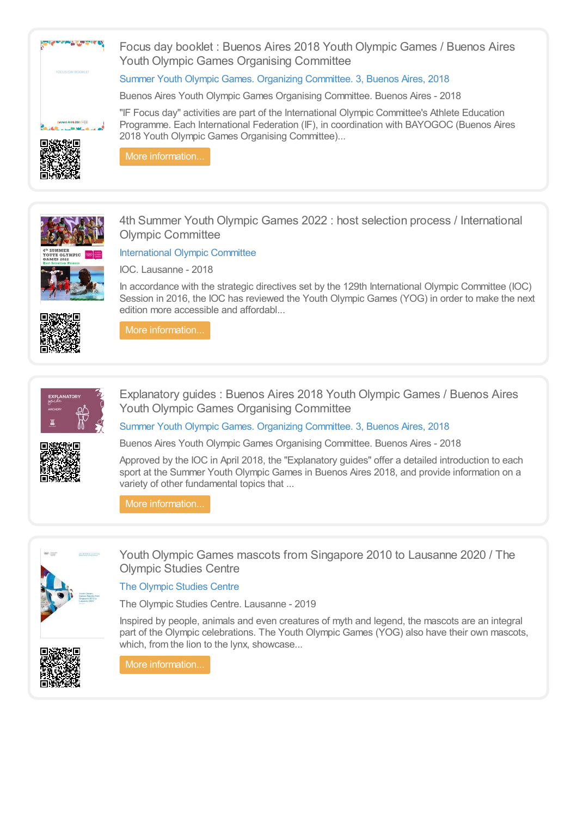



More [information...](https://library.olympics.com/Default/doc/SYRACUSE/176495/focus-day-booklet-buenos-aires-2018-youth-olympic-games-buenos-aires-youth-olympic-games-organising-)



4th Summer Youth Olympic Games 2022 : host selection process / International Olympic Committee

Focus day booklet : Buenos Aires 2018 Youth Olympic Games / Buenos Aires

"IF Focus day" activities are part of the International Olympic Committee's Athlete Education Programme. Each International Federation (IF), in coordination with BAYOGOC (Buenos Aires

Summer Youth Olympic Games. Organizing [Committee.](https://library.olympics.com/Default/search.aspx?SC=DEFAULT&QUERY=Authority_id_idx%253a171377&QUERY_LABEL=Summer+Youth+Olympic+Games.+Organizing+Committee.+3%252c+Buenos+Aires%252c+2018) 3, Buenos Aires, 2018 Buenos Aires Youth Olympic Games Organising Committee. Buenos Aires - 2018

Youth Olympic Games Organising Committee

2018 Youth Olympic Games Organising Committee)...

[International](https://library.olympics.com/Default/search.aspx?SC=DEFAULT&QUERY=Authority_id_idx%253a167997&QUERY_LABEL=International+Olympic+Committee) Olympic Committee



IOC. Lausanne - 2018

In accordance with the strategic directives set by the 129th International Olympic Committee (IOC) Session in 2016, the IOC has reviewed the Youth Olympic Games (YOG) in order to make the next edition more accessible and affordabl...



More [information...](https://library.olympics.com/Default/doc/SYRACUSE/173725/4th-summer-youth-olympic-games-2022-host-selection-process-international-olympic-committee)



Explanatory guides : Buenos Aires 2018 Youth Olympic Games / Buenos Aires Youth Olympic Games Organising Committee

Summer Youth Olympic Games. Organizing [Committee.](https://library.olympics.com/Default/search.aspx?SC=DEFAULT&QUERY=Authority_id_idx%253a171377&QUERY_LABEL=Summer+Youth+Olympic+Games.+Organizing+Committee.+3%252c+Buenos+Aires%252c+2018) 3, Buenos Aires, 2018



Buenos Aires Youth Olympic Games Organising Committee. Buenos Aires - 2018

Approved by the IOC in April 2018, the "Explanatory guides" offer a detailed introduction to each sport at the Summer Youth Olympic Games in Buenos Aires 2018, and provide information on a variety of other fundamental topics that ...

More [information...](https://library.olympics.com/Default/doc/SYRACUSE/175718/explanatory-guides-buenos-aires-2018-youth-olympic-games-buenos-aires-youth-olympic-games-organising)



Youth Olympic Games mascots from Singapore 2010 to Lausanne 2020 / The Olympic Studies Centre

# The [Olympic](https://library.olympics.com/Default/search.aspx?SC=DEFAULT&QUERY=Authority_id_idx%253a168034&QUERY_LABEL=The+Olympic+Studies+Centre) Studies Centre

The Olympic Studies Centre. Lausanne - 2019

Inspired by people, animals and even creatures of myth and legend, the mascots are an integral part of the Olympic celebrations. The Youth Olympic Games (YOG) also have their own mascots, which, from the lion to the lynx, showcase...



More [information...](https://library.olympics.com/Default/doc/SYRACUSE/161818/youth-olympic-games-mascots-from-singapore-2010-to-lausanne-2020-the-olympic-studies-centre)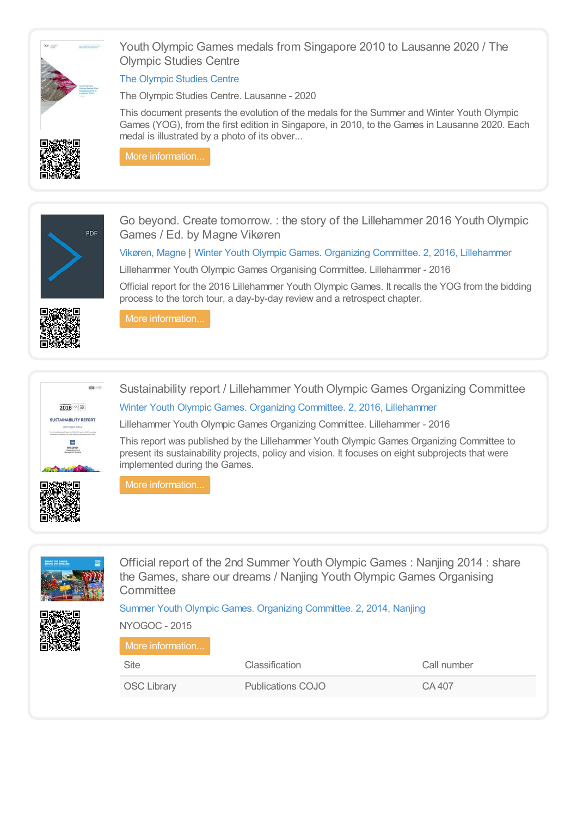

Youth Olympic Games medals from Singapore 2010 to Lausanne 2020 / The Olympic Studies Centre

### The [Olympic](https://library.olympics.com/Default/search.aspx?SC=DEFAULT&QUERY=Authority_id_idx%253a168034&QUERY_LABEL=The+Olympic+Studies+Centre) Studies Centre

The Olympic Studies Centre. Lausanne - 2020

This document presents the evolution of the medals for the Summer and Winter Youth Olympic Games (YOG), from the first edition in Singapore, in 2010, to the Games in Lausanne 2020. Each medal is illustrated by a photo of its obver...



More [information...](https://library.olympics.com/Default/doc/SYRACUSE/161901/youth-olympic-games-medals-from-singapore-2010-to-lausanne-2020-the-olympic-studies-centre)



Go beyond. Create tomorrow. : the story of the Lillehammer 2016 Youth Olympic Games / Ed. by Magne Vikøren

[Vikøren,](https://library.olympics.com/Default/search.aspx?SC=DEFAULT&QUERY=Authority_id_idx:162057&QUERY_LABEL=Vik%25C3%25B8ren%252c+Magne) Magne | Winter Youth Olympic Games. Organizing Committee. 2, 2016, [Lillehammer](https://library.olympics.com/Default/search.aspx?SC=DEFAULT&QUERY=Authority_id_idx%253a2731&QUERY_LABEL=Winter+Youth+Olympic+Games.+Organizing+Committee.+2%252c+2016%252c+Lillehammer)

Lillehammer Youth Olympic Games Organising Committee. Lillehammer - 2016

Official report for the 2016 Lillehammer Youth Olympic Games. It recalls the YOG from the bidding process to the torch tour, a day-by-day review and a retrospect chapter.



More [information...](https://library.olympics.com/Default/doc/SYRACUSE/162058/go-beyond-create-tomorrow-the-story-of-the-lillehammer-2016-youth-olympic-games-ed-by-magne-vik%C3%B8ren)



Sustainability report / Lillehammer Youth Olympic Games Organizing Committee

Winter Youth Olympic Games. Organizing Committee. 2, 2016, [Lillehammer](https://library.olympics.com/Default/search.aspx?SC=DEFAULT&QUERY=Authority_id_idx%253a2731&QUERY_LABEL=Winter+Youth+Olympic+Games.+Organizing+Committee.+2%252c+2016%252c+Lillehammer)

Lillehammer Youth Olympic Games Organizing Committee. Lillehammer - 2016

This report was published by the Lillehammer Youth Olympic Games Organizing Committee to present its sustainability projects, policy and vision. It focuses on eight subprojects that were implemented during the Games.



More [information...](https://library.olympics.com/Default/doc/SYRACUSE/171886/sustainability-report-lillehammer-youth-olympic-games-organizing-committee)



Official report of the 2nd Summer Youth Olympic Games : Nanjing 2014 : share the Games, share our dreams / Nanjing Youth Olympic Games Organising **Committee** 

### Summer Youth Olympic Games. Organizing [Committee.](https://library.olympics.com/Default/search.aspx?SC=DEFAULT&QUERY=Authority_id_idx%253a201&QUERY_LABEL=Summer+Youth+Olympic+Games.+Organizing+Committee.+2%252c+2014%252c+Nanjing) 2, 2014, Nanjing



NYOGOC - 2015 More [information...](https://library.olympics.com/Default/doc/SYRACUSE/38856/official-report-of-the-2nd-summer-youth-olympic-games-nanjing-2014-share-the-games-share-our-dreams-) Site Classification Call number OSC Library **Publications COJO** CA 407